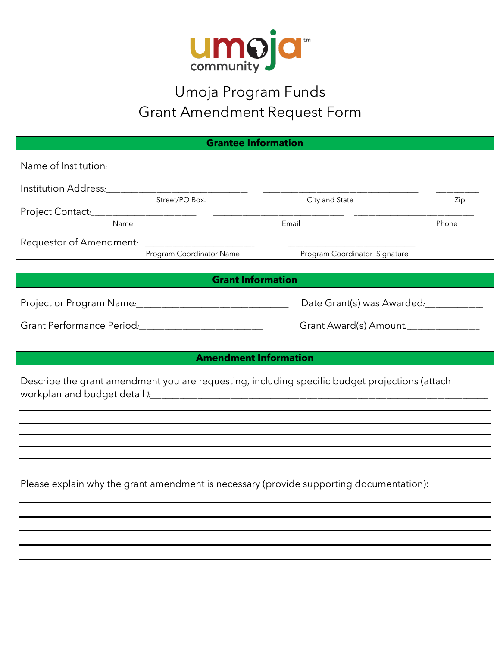

## Umoja Program Funds Grant Amendment Request Form

| <b>Grantee Information</b>                                                                     |                               |       |  |  |
|------------------------------------------------------------------------------------------------|-------------------------------|-------|--|--|
|                                                                                                |                               |       |  |  |
|                                                                                                |                               |       |  |  |
| Street/PO Box.                                                                                 | City and State                | Zip   |  |  |
|                                                                                                |                               |       |  |  |
| Name                                                                                           | Email                         | Phone |  |  |
| Requestor of Amendment: <u>Frogram Coordinator Name</u>                                        |                               |       |  |  |
|                                                                                                | Program Coordinator Signature |       |  |  |
|                                                                                                | <b>Grant Information</b>      |       |  |  |
|                                                                                                |                               |       |  |  |
| Grant Performance Period:_____________________________                                         | Grant Award(s) Amount:        |       |  |  |
|                                                                                                |                               |       |  |  |
| <b>Amendment Information</b>                                                                   |                               |       |  |  |
| Describe the grant amendment you are requesting, including specific budget projections (attach |                               |       |  |  |
|                                                                                                |                               |       |  |  |
|                                                                                                |                               |       |  |  |
|                                                                                                |                               |       |  |  |
| Please explain why the grant amendment is necessary (provide supporting documentation):        |                               |       |  |  |
|                                                                                                |                               |       |  |  |
|                                                                                                |                               |       |  |  |
|                                                                                                |                               |       |  |  |
|                                                                                                |                               |       |  |  |
|                                                                                                |                               |       |  |  |